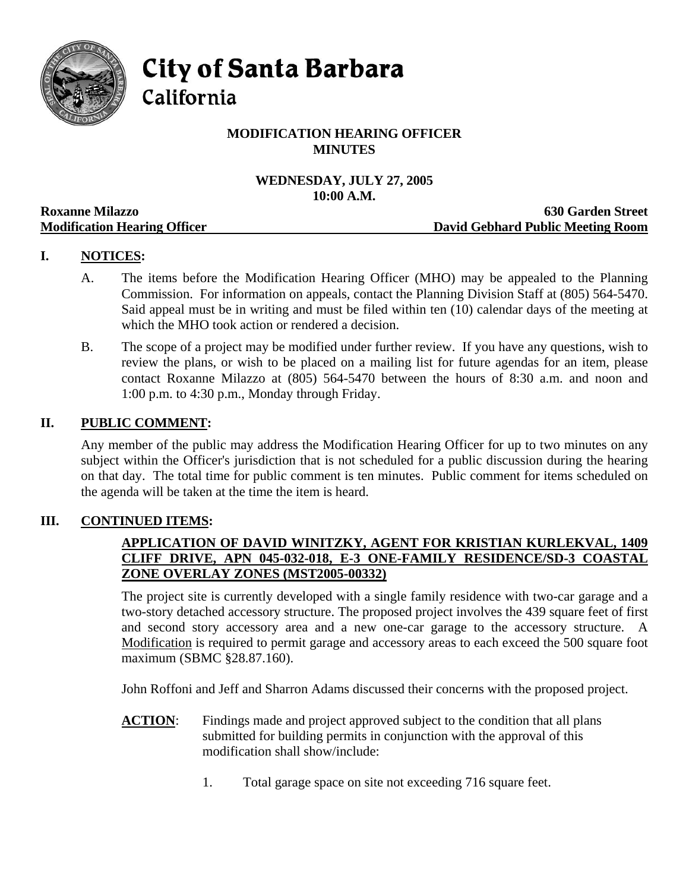

**City of Santa Barbara** 

California

# **MODIFICATION HEARING OFFICER MINUTES**

# **WEDNESDAY, JULY 27, 2005 10:00 A.M.**

|                                     | TAMA THE TAMA                     |
|-------------------------------------|-----------------------------------|
| <b>Roxanne Milazzo</b>              | <b>630 Garden Street</b>          |
| <b>Modification Hearing Officer</b> | David Gebhard Public Meeting Room |

# **I. NOTICES:**

- A. The items before the Modification Hearing Officer (MHO) may be appealed to the Planning Commission. For information on appeals, contact the Planning Division Staff at (805) 564-5470. Said appeal must be in writing and must be filed within ten (10) calendar days of the meeting at which the MHO took action or rendered a decision.
- B. The scope of a project may be modified under further review. If you have any questions, wish to review the plans, or wish to be placed on a mailing list for future agendas for an item, please contact Roxanne Milazzo at (805) 564-5470 between the hours of 8:30 a.m. and noon and 1:00 p.m. to 4:30 p.m., Monday through Friday.

## **II. PUBLIC COMMENT:**

Any member of the public may address the Modification Hearing Officer for up to two minutes on any subject within the Officer's jurisdiction that is not scheduled for a public discussion during the hearing on that day. The total time for public comment is ten minutes. Public comment for items scheduled on the agenda will be taken at the time the item is heard.

## **III. CONTINUED ITEMS:**

## **APPLICATION OF DAVID WINITZKY, AGENT FOR KRISTIAN KURLEKVAL, 1409 CLIFF DRIVE, APN 045-032-018, E-3 ONE-FAMILY RESIDENCE/SD-3 COASTAL ZONE OVERLAY ZONES (MST2005-00332)**

The project site is currently developed with a single family residence with two-car garage and a two-story detached accessory structure. The proposed project involves the 439 square feet of first and second story accessory area and a new one-car garage to the accessory structure. A Modification is required to permit garage and accessory areas to each exceed the 500 square foot maximum (SBMC §28.87.160).

John Roffoni and Jeff and Sharron Adams discussed their concerns with the proposed project.

- **ACTION:** Findings made and project approved subject to the condition that all plans submitted for building permits in conjunction with the approval of this modification shall show/include:
	- 1. Total garage space on site not exceeding 716 square feet.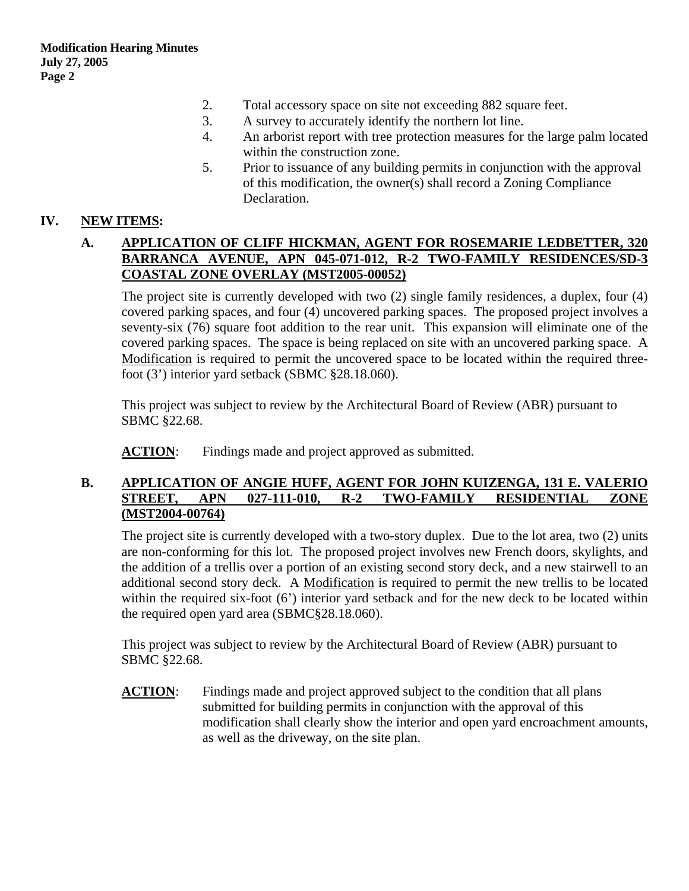- 2. Total accessory space on site not exceeding 882 square feet.
- 3. A survey to accurately identify the northern lot line.
- 4. An arborist report with tree protection measures for the large palm located within the construction zone.
- 5. Prior to issuance of any building permits in conjunction with the approval of this modification, the owner(s) shall record a Zoning Compliance Declaration.

#### **IV. NEW ITEMS:**

#### **A. APPLICATION OF CLIFF HICKMAN, AGENT FOR ROSEMARIE LEDBETTER, 320 BARRANCA AVENUE, APN 045-071-012, R-2 TWO-FAMILY RESIDENCES/SD-3 COASTAL ZONE OVERLAY (MST2005-00052)**

The project site is currently developed with two (2) single family residences, a duplex, four (4) covered parking spaces, and four (4) uncovered parking spaces. The proposed project involves a seventy-six (76) square foot addition to the rear unit. This expansion will eliminate one of the covered parking spaces. The space is being replaced on site with an uncovered parking space. A Modification is required to permit the uncovered space to be located within the required threefoot (3') interior yard setback (SBMC §28.18.060).

This project was subject to review by the Architectural Board of Review (ABR) pursuant to SBMC §22.68.

**ACTION:** Findings made and project approved as submitted.

#### **B. APPLICATION OF ANGIE HUFF, AGENT FOR JOHN KUIZENGA, 131 E. VALERIO STREET, APN 027-111-010, R-2 TWO-FAMILY RESIDENTIAL ZONE (MST2004-00764)**

The project site is currently developed with a two-story duplex. Due to the lot area, two (2) units are non-conforming for this lot. The proposed project involves new French doors, skylights, and the addition of a trellis over a portion of an existing second story deck, and a new stairwell to an additional second story deck. A Modification is required to permit the new trellis to be located within the required six-foot (6') interior yard setback and for the new deck to be located within the required open yard area (SBMC§28.18.060).

This project was subject to review by the Architectural Board of Review (ABR) pursuant to SBMC §22.68.

**ACTION:** Findings made and project approved subject to the condition that all plans submitted for building permits in conjunction with the approval of this modification shall clearly show the interior and open yard encroachment amounts, as well as the driveway, on the site plan.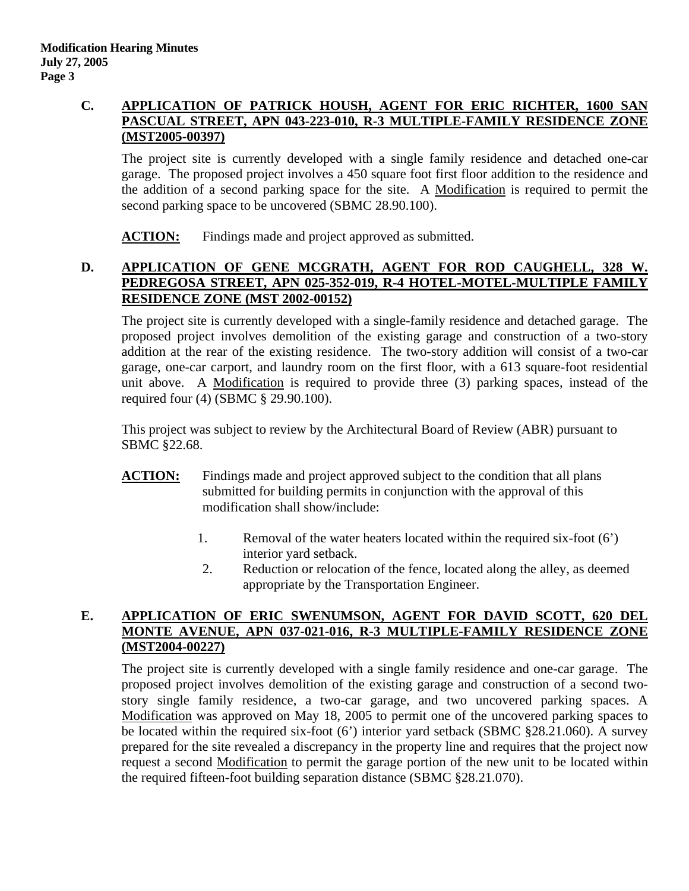### **C. APPLICATION OF PATRICK HOUSH, AGENT FOR ERIC RICHTER, 1600 SAN PASCUAL STREET, APN 043-223-010, R-3 MULTIPLE-FAMILY RESIDENCE ZONE (MST2005-00397)**

The project site is currently developed with a single family residence and detached one-car garage. The proposed project involves a 450 square foot first floor addition to the residence and the addition of a second parking space for the site. A Modification is required to permit the second parking space to be uncovered (SBMC 28.90.100).

**ACTION:** Findings made and project approved as submitted.

# **D. APPLICATION OF GENE MCGRATH, AGENT FOR ROD CAUGHELL, 328 W. PEDREGOSA STREET, APN 025-352-019, R-4 HOTEL-MOTEL-MULTIPLE FAMILY RESIDENCE ZONE (MST 2002-00152)**

The project site is currently developed with a single-family residence and detached garage. The proposed project involves demolition of the existing garage and construction of a two-story addition at the rear of the existing residence. The two-story addition will consist of a two-car garage, one-car carport, and laundry room on the first floor, with a 613 square-foot residential unit above. A Modification is required to provide three (3) parking spaces, instead of the required four (4) (SBMC § 29.90.100).

This project was subject to review by the Architectural Board of Review (ABR) pursuant to SBMC §22.68.

- **ACTION:** Findings made and project approved subject to the condition that all plans submitted for building permits in conjunction with the approval of this modification shall show/include:
	- 1. Removal of the water heaters located within the required six-foot (6') interior yard setback.
	- 2. Reduction or relocation of the fence, located along the alley, as deemed appropriate by the Transportation Engineer.

# E. APPLICATION OF ERIC SWENUMSON, AGENT FOR DAVID SCOTT, 620 DEL **MONTE AVENUE, APN 037-021-016, R-3 MULTIPLE-FAMILY RESIDENCE ZONE (MST2004-00227)**

The project site is currently developed with a single family residence and one-car garage. The proposed project involves demolition of the existing garage and construction of a second twostory single family residence, a two-car garage, and two uncovered parking spaces. A Modification was approved on May 18, 2005 to permit one of the uncovered parking spaces to be located within the required six-foot (6') interior yard setback (SBMC §28.21.060). A survey prepared for the site revealed a discrepancy in the property line and requires that the project now request a second Modification to permit the garage portion of the new unit to be located within the required fifteen-foot building separation distance (SBMC §28.21.070).